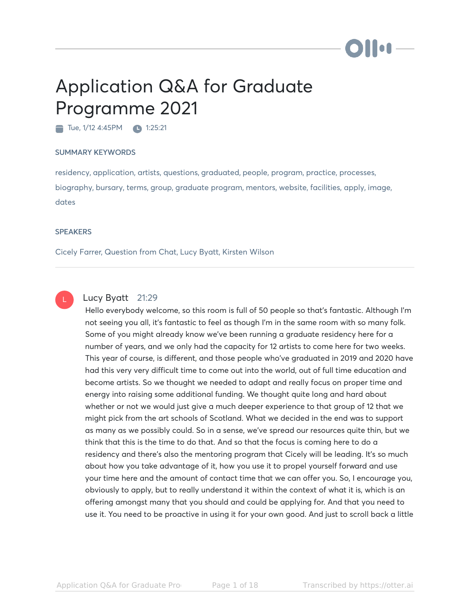# Hon

# Application Q&A for Graduate Programme 2021

Tue, 1/12 4:45PM 1:25:21

### SUMMARY KEYWORDS

residency, application, artists, questions, graduated, people, program, practice, processes, biography, bursary, terms, group, graduate program, mentors, website, facilities, apply, image, dates

### **SPEAKERS**

Cicely Farrer, Question from Chat, Lucy Byatt, Kirsten Wilson



# Lucy Byatt 21:29

Hello everybody welcome, so this room is full of 50 people so that's fantastic. Although I'm not seeing you all, it's fantastic to feel as though I'm in the same room with so many folk. Some of you might already know we've been running a graduate residency here for a number of years, and we only had the capacity for 12 artists to come here for two weeks. This year of course, is different, and those people who've graduated in 2019 and 2020 have had this very very difficult time to come out into the world, out of full time education and become artists. So we thought we needed to adapt and really focus on proper time and energy into raising some additional funding. We thought quite long and hard about whether or not we would just give a much deeper experience to that group of 12 that we might pick from the art schools of Scotland. What we decided in the end was to support as many as we possibly could. So in a sense, we've spread our resources quite thin, but we think that this is the time to do that. And so that the focus is coming here to do a residency and there's also the mentoring program that Cicely will be leading. It's so much about how you take advantage of it, how you use it to propel yourself forward and use your time here and the amount of contact time that we can offer you. So, I encourage you, obviously to apply, but to really understand it within the context of what it is, which is an offering amongst many that you should and could be applying for. And that you need to use it. You need to be proactive in using it for your own good. And just to scroll back a little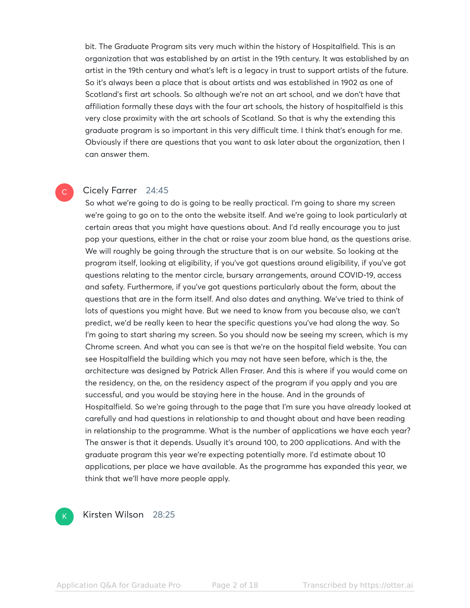bit. The Graduate Program sits very much within the history of Hospitalfield. This is an organization that was established by an artist in the 19th century. It was established by an artist in the 19th century and what's left is a legacy in trust to support artists of the future. So it's always been a place that is about artists and was established in 1902 as one of Scotland's first art schools. So although we're not an art school, and we don't have that affiliation formally these days with the four art schools, the history of hospitalfield is this very close proximity with the art schools of Scotland. So that is why the extending this graduate program is so important in this very difficult time. I think that's enough for me. Obviously if there are questions that you want to ask later about the organization, then I can answer them.

# Cicely Farrer 24:45

 $\mathsf{C}^{\scriptscriptstyle{+}}$ 

So what we're going to do is going to be really practical. I'm going to share my screen we're going to go on to the onto the website itself. And we're going to look particularly at certain areas that you might have questions about. And I'd really encourage you to just pop your questions, either in the chat or raise your zoom blue hand, as the questions arise. We will roughly be going through the structure that is on our website. So looking at the program itself, looking at eligibility, if you've got questions around eligibility, if you've got questions relating to the mentor circle, bursary arrangements, around COVID-19, access and safety. Furthermore, if you've got questions particularly about the form, about the questions that are in the form itself. And also dates and anything. We've tried to think of lots of questions you might have. But we need to know from you because also, we can't predict, we'd be really keen to hear the specific questions you've had along the way. So I'm going to start sharing my screen. So you should now be seeing my screen, which is my Chrome screen. And what you can see is that we're on the hospital field website. You can see Hospitalfield the building which you may not have seen before, which is the, the architecture was designed by Patrick Allen Fraser. And this is where if you would come on the residency, on the, on the residency aspect of the program if you apply and you are successful, and you would be staying here in the house. And in the grounds of Hospitalfield. So we're going through to the page that I'm sure you have already looked at carefully and had questions in relationship to and thought about and have been reading in relationship to the programme. What is the number of applications we have each year? The answer is that it depends. Usually it's around 100, to 200 applications. And with the graduate program this year we're expecting potentially more. I'd estimate about 10 applications, per place we have available. As the programme has expanded this year, we think that we'll have more people apply.



Kirsten Wilson 28:25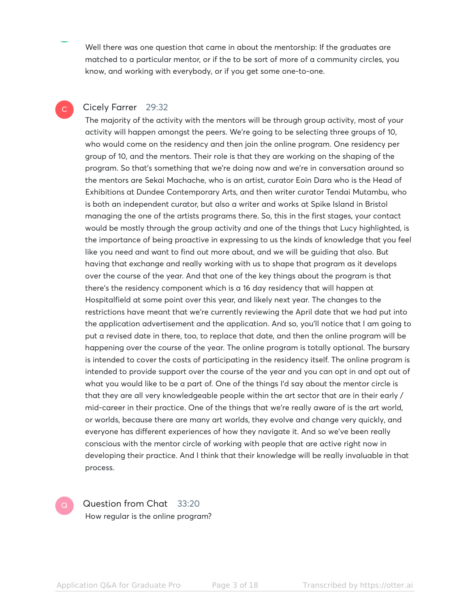Well there was one question that came in about the mentorship: If the graduates are matched to a particular mentor, or if the to be sort of more of a community circles, you know, and working with everybody, or if you get some one-to-one.

# Cicely Farrer 29:32

C

The majority of the activity with the mentors will be through group activity, most of your activity will happen amongst the peers. We're going to be selecting three groups of 10, who would come on the residency and then join the online program. One residency per group of 10, and the mentors. Their role is that they are working on the shaping of the program. So that's something that we're doing now and we're in conversation around so the mentors are Sekai Machache, who is an artist, curator Eoin Dara who is the Head of Exhibitions at Dundee Contemporary Arts, and then writer curator Tendai Mutambu, who is both an independent curator, but also a writer and works at Spike Island in Bristol managing the one of the artists programs there. So, this in the first stages, your contact would be mostly through the group activity and one of the things that Lucy highlighted, is the importance of being proactive in expressing to us the kinds of knowledge that you feel like you need and want to find out more about, and we will be guiding that also. But having that exchange and really working with us to shape that program as it develops over the course of the year. And that one of the key things about the program is that there's the residency component which is a 16 day residency that will happen at Hospitalfield at some point over this year, and likely next year. The changes to the restrictions have meant that we're currently reviewing the April date that we had put into the application advertisement and the application. And so, you'll notice that I am going to put a revised date in there, too, to replace that date, and then the online program will be happening over the course of the year. The online program is totally optional. The bursary is intended to cover the costs of participating in the residency itself. The online program is intended to provide support over the course of the year and you can opt in and opt out of what you would like to be a part of. One of the things I'd say about the mentor circle is that they are all very knowledgeable people within the art sector that are in their early / mid-career in their practice. One of the things that we're really aware of is the art world, or worlds, because there are many art worlds, they evolve and change very quickly, and everyone has different experiences of how they navigate it. And so we've been really conscious with the mentor circle of working with people that are active right now in developing their practice. And I think that their knowledge will be really invaluable in that process.



Question from Chat 33:20 How regular is the online program?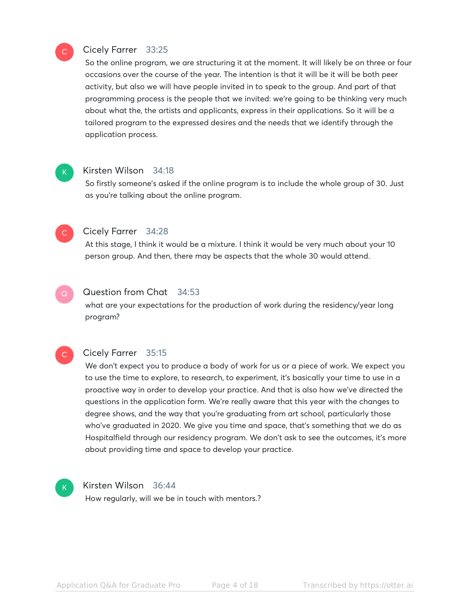

# Cicely Farrer 33:25

So the online program, we are structuring it at the moment. It will likely be on three or four occasions over the course of the year. The intention is that it will be it will be both peer activity, but also we will have people invited in to speak to the group. And part of that programming process is the people that we invited: we're going to be thinking very much about what the, the artists and applicants, express in their applications. So it will be a tailored program to the expressed desires and the needs that we identify through the application process.



# Kirsten Wilson 34:18

So firstly someone's asked if the online program is to include the whole group of 30. Just as you're talking about the online program.



### Cicely Farrer 34:28

At this stage, I think it would be a mixture. I think it would be very much about your 10 person group. And then, there may be aspects that the whole 30 would attend.

#### Question from Chat 34:53  $\mathsf{Q}^+$

what are your expectations for the production of work during the residency/year long program?

# $\mathsf{C}^{\mathbb{C}}$

# Cicely Farrer 35:15

We don't expect you to produce a body of work for us or a piece of work. We expect you to use the time to explore, to research, to experiment, it's basically your time to use in a proactive way in order to develop your practice. And that is also how we've directed the questions in the application form. We're really aware that this year with the changes to degree shows, and the way that you're graduating from art school, particularly those who've graduated in 2020. We give you time and space, that's something that we do as Hospitalfield through our residency program. We don't ask to see the outcomes, it's more about providing time and space to develop your practice.

# K

# Kirsten Wilson 36:44

How regularly, will we be in touch with mentors.?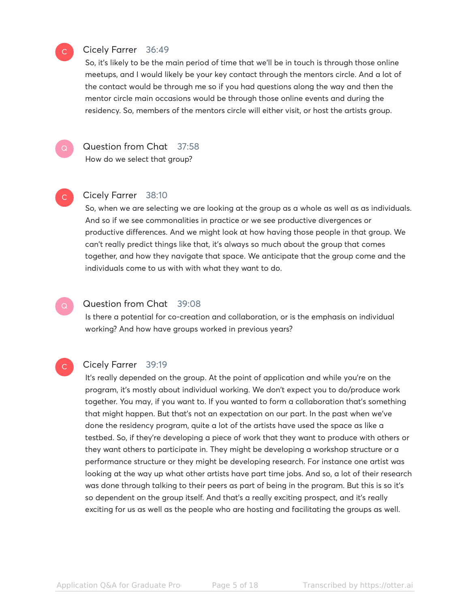# Cicely Farrer 36:49

So, it's likely to be the main period of time that we'll be in touch is through those online meetups, and I would likely be your key contact through the mentors circle. And a lot of the contact would be through me so if you had questions along the way and then the mentor circle main occasions would be through those online events and during the residency. So, members of the mentors circle will either visit, or host the artists group.

 $\mathsf{Q}^-$ 

 $\mathbb{C}^{\times}$ 

 $\mathsf{C}^{\scriptscriptstyle{+}}$ 

 $\mathsf{C}^{\scriptscriptstyle{+}}$ 

# Question from Chat 37:58 How do we select that group?

## Cicely Farrer 38:10

So, when we are selecting we are looking at the group as a whole as well as as individuals. And so if we see commonalities in practice or we see productive divergences or productive differences. And we might look at how having those people in that group. We can't really predict things like that, it's always so much about the group that comes together, and how they navigate that space. We anticipate that the group come and the individuals come to us with with what they want to do.

#### Question from Chat 39:08  $\mathsf{Q}^-$

Is there a potential for co-creation and collaboration, or is the emphasis on individual working? And how have groups worked in previous years?

# Cicely Farrer 39:19

It's really depended on the group. At the point of application and while you're on the program, it's mostly about individual working. We don't expect you to do/produce work together. You may, if you want to. If you wanted to form a collaboration that's something that might happen. But that's not an expectation on our part. In the past when we've done the residency program, quite a lot of the artists have used the space as like a testbed. So, if they're developing a piece of work that they want to produce with others or they want others to participate in. They might be developing a workshop structure or a performance structure or they might be developing research. For instance one artist was looking at the way up what other artists have part time jobs. And so, a lot of their research was done through talking to their peers as part of being in the program. But this is so it's so dependent on the group itself. And that's a really exciting prospect, and it's really exciting for us as well as the people who are hosting and facilitating the groups as well.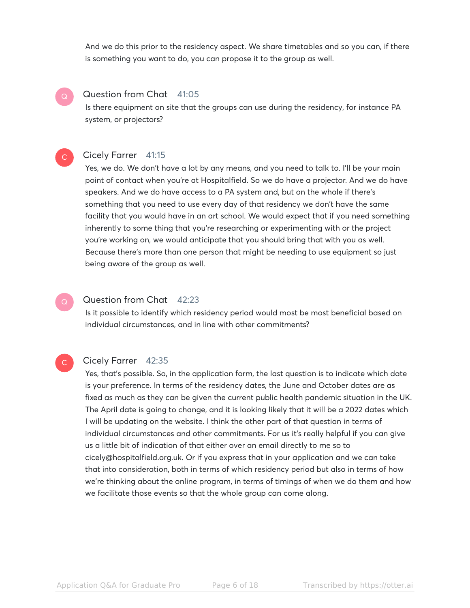And we do this prior to the residency aspect. We share timetables and so you can, if there is something you want to do, you can propose it to the group as well.

#### Question from Chat 41:05  $\mathsf{Q}^-$

Is there equipment on site that the groups can use during the residency, for instance PA system, or projectors?

# Cicely Farrer 41:15

 $\mathsf{C}^{\scriptscriptstyle{+}}$ 

C

Yes, we do. We don't have a lot by any means, and you need to talk to. I'll be your main point of contact when you're at Hospitalfield. So we do have a projector. And we do have speakers. And we do have access to a PA system and, but on the whole if there's something that you need to use every day of that residency we don't have the same facility that you would have in an art school. We would expect that if you need something inherently to some thing that you're researching or experimenting with or the project you're working on, we would anticipate that you should bring that with you as well. Because there's more than one person that might be needing to use equipment so just being aware of the group as well.

### Question from Chat 42:23  $\mathsf{Q}^-$

Is it possible to identify which residency period would most be most beneficial based on individual circumstances, and in line with other commitments?

# Cicely Farrer 42:35

Yes, that's possible. So, in the application form, the last question is to indicate which date is your preference. In terms of the residency dates, the June and October dates are as fixed as much as they can be given the current public health pandemic situation in the UK. The April date is going to change, and it is looking likely that it will be a 2022 dates which I will be updating on the website. I think the other part of that question in terms of individual circumstances and other commitments. For us it's really helpful if you can give us a little bit of indication of that either over an email directly to me so to cicely@hospitalfield.org.uk. Or if you express that in your application and we can take that into consideration, both in terms of which residency period but also in terms of how we're thinking about the online program, in terms of timings of when we do them and how we facilitate those events so that the whole group can come along.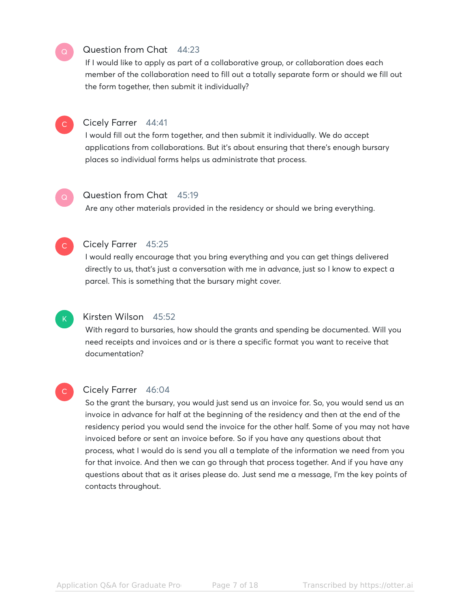# Question from Chat 44:23

If I would like to apply as part of a collaborative group, or collaboration does each member of the collaboration need to fill out a totally separate form or should we fill out the form together, then submit it individually?



 $\mathsf{Q}^-$ 

# Cicely Farrer 44:41

I would fill out the form together, and then submit it individually. We do accept applications from collaborations. But it's about ensuring that there's enough bursary places so individual forms helps us administrate that process.

# $\mathsf{Q}^+$

# Question from Chat 45:19

Are any other materials provided in the residency or should we bring everything.



 $\mathsf{K}_{\scriptscriptstyle{+}}$ 

 $\mathsf{C}$ 

# Cicely Farrer 45:25

I would really encourage that you bring everything and you can get things delivered directly to us, that's just a conversation with me in advance, just so I know to expect a parcel. This is something that the bursary might cover.

# Kirsten Wilson 45:52

With regard to bursaries, how should the grants and spending be documented. Will you need receipts and invoices and or is there a specific format you want to receive that documentation?

# Cicely Farrer 46:04

So the grant the bursary, you would just send us an invoice for. So, you would send us an invoice in advance for half at the beginning of the residency and then at the end of the residency period you would send the invoice for the other half. Some of you may not have invoiced before or sent an invoice before. So if you have any questions about that process, what I would do is send you all a template of the information we need from you for that invoice. And then we can go through that process together. And if you have any questions about that as it arises please do. Just send me a message, I'm the key points of contacts throughout.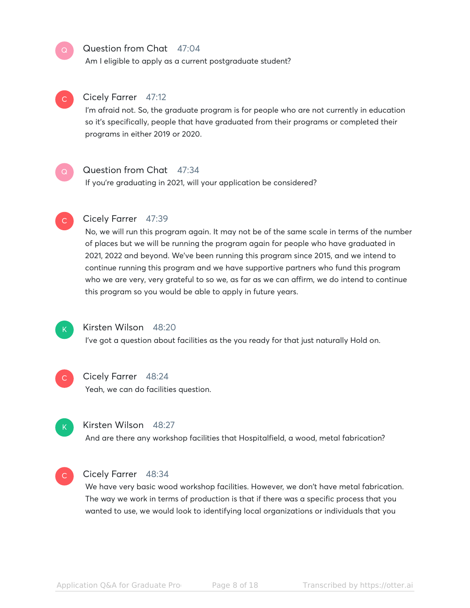# Question from Chat 47:04

Am I eligible to apply as a current postgraduate student?



 $\mathsf{C}^{\scriptscriptstyle{+}}$ 

 $\mathsf{Q}^-$ 

# Cicely Farrer 47:12

I'm afraid not. So, the graduate program is for people who are not currently in education so it's specifically, people that have graduated from their programs or completed their programs in either 2019 or 2020.



# Question from Chat 47:34

If you're graduating in 2021, will your application be considered?



# Cicely Farrer 47:39

No, we will run this program again. It may not be of the same scale in terms of the number of places but we will be running the program again for people who have graduated in 2021, 2022 and beyond. We've been running this program since 2015, and we intend to continue running this program and we have supportive partners who fund this program who we are very, very grateful to so we, as far as we can affirm, we do intend to continue this program so you would be able to apply in future years.



## Kirsten Wilson 48:20

I've got a question about facilities as the you ready for that just naturally Hold on.



### Cicely Farrer 48:24

Yeah, we can do facilities question.



### Kirsten Wilson 48:27

And are there any workshop facilities that Hospitalfield, a wood, metal fabrication?



### Cicely Farrer 48:34

We have very basic wood workshop facilities. However, we don't have metal fabrication. The way we work in terms of production is that if there was a specific process that you wanted to use, we would look to identifying local organizations or individuals that you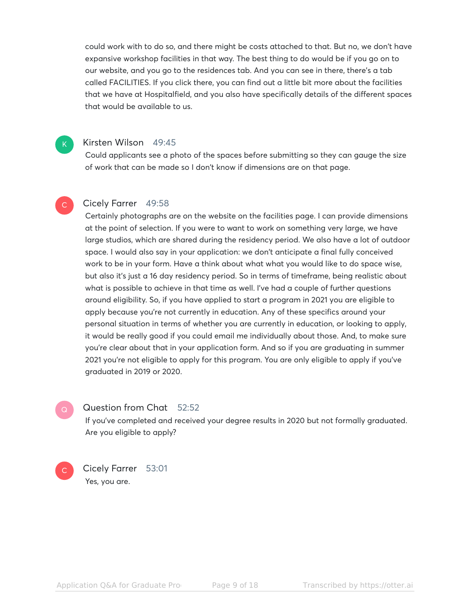could work with to do so, and there might be costs attached to that. But no, we don't have expansive workshop facilities in that way. The best thing to do would be if you go on to our website, and you go to the residences tab. And you can see in there, there's a tab called FACILITIES. If you click there, you can find out a little bit more about the facilities that we have at Hospitalfield, and you also have specifically details of the different spaces that would be available to us.

## Kirsten Wilson 49:45

K

 $\overline{C}$ 

 $\mathsf{Q}^-$ 

 $\mathsf{C}^{\scriptscriptstyle{+}}$ 

Could applicants see a photo of the spaces before submitting so they can gauge the size of work that can be made so I don't know if dimensions are on that page.

# Cicely Farrer 49:58

Certainly photographs are on the website on the facilities page. I can provide dimensions at the point of selection. If you were to want to work on something very large, we have large studios, which are shared during the residency period. We also have a lot of outdoor space. I would also say in your application: we don't anticipate a final fully conceived work to be in your form. Have a think about what what you would like to do space wise, but also it's just a 16 day residency period. So in terms of timeframe, being realistic about what is possible to achieve in that time as well. I've had a couple of further questions around eligibility. So, if you have applied to start a program in 2021 you are eligible to apply because you're not currently in education. Any of these specifics around your personal situation in terms of whether you are currently in education, or looking to apply, it would be really good if you could email me individually about those. And, to make sure you're clear about that in your application form. And so if you are graduating in summer 2021 you're not eligible to apply for this program. You are only eligible to apply if you've graduated in 2019 or 2020.

### Question from Chat 52:52

If you've completed and received your degree results in 2020 but not formally graduated. Are you eligible to apply?

Cicely Farrer 53:01 Yes, you are.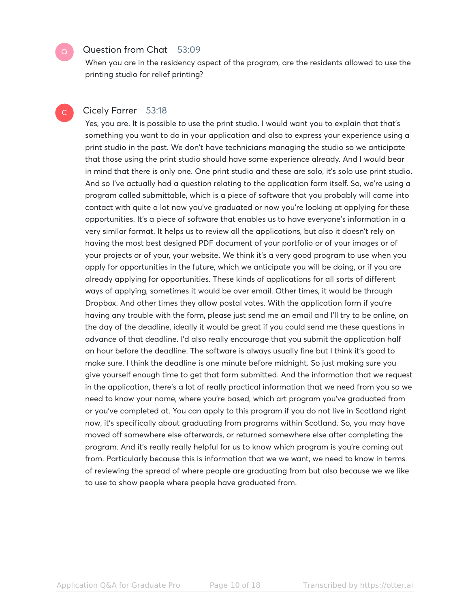# Question from Chat 53:09

When you are in the residency aspect of the program, are the residents allowed to use the printing studio for relief printing?

# Cicely Farrer 53:18

 $\mathsf{Q}^-$ 

C

Yes, you are. It is possible to use the print studio. I would want you to explain that that's something you want to do in your application and also to express your experience using a print studio in the past. We don't have technicians managing the studio so we anticipate that those using the print studio should have some experience already. And I would bear in mind that there is only one. One print studio and these are solo, it's solo use print studio. And so I've actually had a question relating to the application form itself. So, we're using a program called submittable, which is a piece of software that you probably will come into contact with quite a lot now you've graduated or now you're looking at applying for these opportunities. It's a piece of software that enables us to have everyone's information in a very similar format. It helps us to review all the applications, but also it doesn't rely on having the most best designed PDF document of your portfolio or of your images or of your projects or of your, your website. We think it's a very good program to use when you apply for opportunities in the future, which we anticipate you will be doing, or if you are already applying for opportunities. These kinds of applications for all sorts of different ways of applying, sometimes it would be over email. Other times, it would be through Dropbox. And other times they allow postal votes. With the application form if you're having any trouble with the form, please just send me an email and I'll try to be online, on the day of the deadline, ideally it would be great if you could send me these questions in advance of that deadline. I'd also really encourage that you submit the application half an hour before the deadline. The software is always usually fine but I think it's good to make sure. I think the deadline is one minute before midnight. So just making sure you give yourself enough time to get that form submitted. And the information that we request in the application, there's a lot of really practical information that we need from you so we need to know your name, where you're based, which art program you've graduated from or you've completed at. You can apply to this program if you do not live in Scotland right now, it's specifically about graduating from programs within Scotland. So, you may have moved off somewhere else afterwards, or returned somewhere else after completing the program. And it's really really helpful for us to know which program is you're coming out from. Particularly because this is information that we we want, we need to know in terms of reviewing the spread of where people are graduating from but also because we we like to use to show people where people have graduated from.

Application Q&A for Graduate Processover Page 10 of 18 Transcribed by https://otter.ai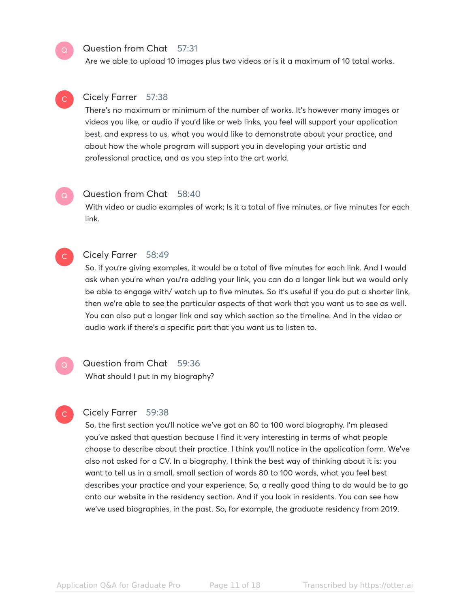# Question from Chat 57:31

Are we able to upload 10 images plus two videos or is it a maximum of 10 total works.

# $\mathsf{C}^{\scriptscriptstyle{+}}$

 $\mathsf{Q}^-$ 

# Cicely Farrer 57:38

There's no maximum or minimum of the number of works. It's however many images or videos you like, or audio if you'd like or web links, you feel will support your application best, and express to us, what you would like to demonstrate about your practice, and about how the whole program will support you in developing your artistic and professional practice, and as you step into the art world.

# Question from Chat 58:40

With video or audio examples of work; Is it a total of five minutes, or five minutes for each link.

# $\mathsf{C}^{\scriptscriptstyle{+}}$

 $\mathsf{Q}^-$ 

# Cicely Farrer 58:49

So, if you're giving examples, it would be a total of five minutes for each link. And I would ask when you're when you're adding your link, you can do a longer link but we would only be able to engage with/ watch up to five minutes. So it's useful if you do put a shorter link, then we're able to see the particular aspects of that work that you want us to see as well. You can also put a longer link and say which section so the timeline. And in the video or audio work if there's a specific part that you want us to listen to.

# $\mathsf{Q}^+$

 $\mathsf{C}^{\scriptscriptstyle{+}}$ 

# Question from Chat 59:36

What should I put in my biography?

# Cicely Farrer 59:38

So, the first section you'll notice we've got an 80 to 100 word biography. I'm pleased you've asked that question because I find it very interesting in terms of what people choose to describe about their practice. I think you'll notice in the application form. We've also not asked for a CV. In a biography, I think the best way of thinking about it is: you want to tell us in a small, small section of words 80 to 100 words, what you feel best describes your practice and your experience. So, a really good thing to do would be to go onto our website in the residency section. And if you look in residents. You can see how we've used biographies, in the past. So, for example, the graduate residency from 2019.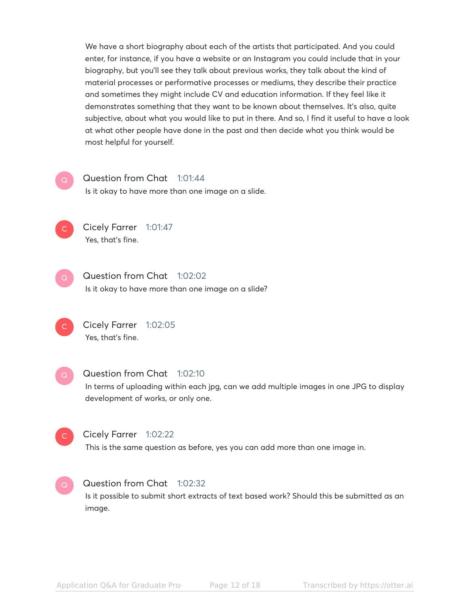We have a short biography about each of the artists that participated. And you could enter, for instance, if you have a website or an Instagram you could include that in your biography, but you'll see they talk about previous works, they talk about the kind of material processes or performative processes or mediums, they describe their practice and sometimes they might include CV and education information. If they feel like it demonstrates something that they want to be known about themselves. It's also, quite subjective, about what you would like to put in there. And so, I find it useful to have a look at what other people have done in the past and then decide what you think would be most helpful for yourself.

# Question from Chat 1:01:44

Is it okay to have more than one image on a slide.

 $\mathsf{C}^{\scriptscriptstyle{+}}$ 

C

Cicely Farrer 1:01:47 Yes, that's fine.

- Question from Chat 1:02:02 Is it okay to have more than one image on a slide?  $\mathsf{Q}^+$
- Cicely Farrer 1:02:05 Yes, that's fine.  $\mathsf{C}^{\scriptscriptstyle{+}}$
- Question from Chat 1:02:10 In terms of uploading within each jpg, can we add multiple images in one JPG to display development of works, or only one.  $\mathsf{Q}^-$ 
	- Cicely Farrer 1:02:22 This is the same question as before, yes you can add more than one image in.
- Question from Chat 1:02:32 Is it possible to submit short extracts of text based work? Should this be submitted as an image.  $\mathsf{Q}^+$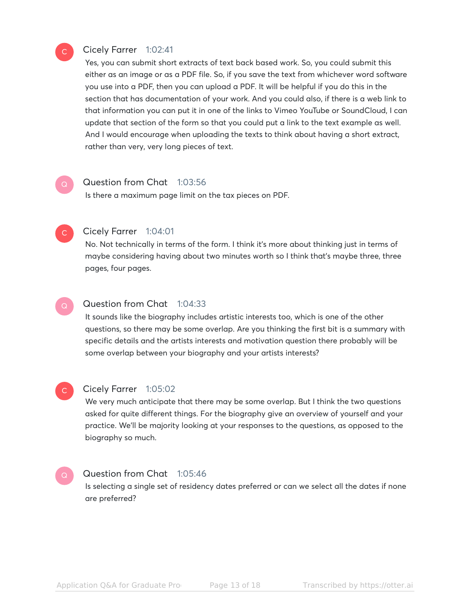# Cicely Farrer 1:02:41

Yes, you can submit short extracts of text back based work. So, you could submit this either as an image or as a PDF file. So, if you save the text from whichever word software you use into a PDF, then you can upload a PDF. It will be helpful if you do this in the section that has documentation of your work. And you could also, if there is a web link to that information you can put it in one of the links to Vimeo YouTube or SoundCloud, I can update that section of the form so that you could put a link to the text example as well. And I would encourage when uploading the texts to think about having a short extract, rather than very, very long pieces of text.

### Question from Chat 1:03:56

Is there a maximum page limit on the tax pieces on PDF.

# $\mathsf{C}$

 $\mathsf{Q}^-$ 

 $\mathsf{C}^{\scriptscriptstyle{+}}$ 

### Cicely Farrer 1:04:01

No. Not technically in terms of the form. I think it's more about thinking just in terms of maybe considering having about two minutes worth so I think that's maybe three, three pages, four pages.

#### Question from Chat 1:04:33  $\mathsf{Q}^-$

It sounds like the biography includes artistic interests too, which is one of the other questions, so there may be some overlap. Are you thinking the first bit is a summary with specific details and the artists interests and motivation question there probably will be some overlap between your biography and your artists interests?

# $\mathbb{C}^{\times}$

# Cicely Farrer 1:05:02

We very much anticipate that there may be some overlap. But I think the two questions asked for quite different things. For the biography give an overview of yourself and your practice. We'll be majority looking at your responses to the questions, as opposed to the biography so much.

#### Question from Chat 1:05:46  $\mathsf{Q}^-$

Is selecting a single set of residency dates preferred or can we select all the dates if none are preferred?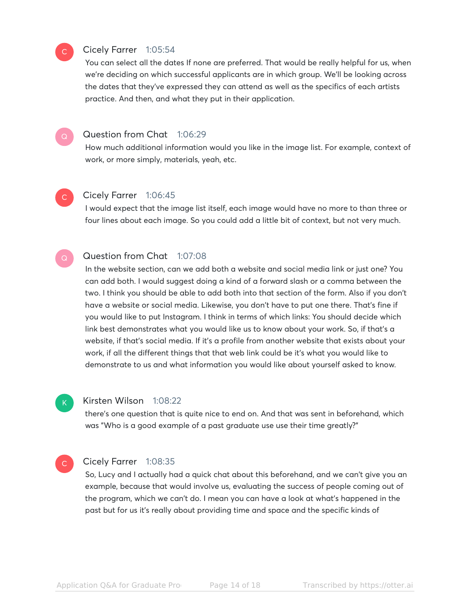# Cicely Farrer 1:05:54

You can select all the dates If none are preferred. That would be really helpful for us, when we're deciding on which successful applicants are in which group. We'll be looking across the dates that they've expressed they can attend as well as the specifics of each artists practice. And then, and what they put in their application.



 $\mathsf{C}^{\scriptscriptstyle{+}}$ 

# Question from Chat 1:06:29

How much additional information would you like in the image list. For example, context of work, or more simply, materials, yeah, etc.

#### Cicely Farrer 1:06:45  $\overline{C}$

I would expect that the image list itself, each image would have no more to than three or four lines about each image. So you could add a little bit of context, but not very much.

#### Question from Chat 1:07:08  $\mathsf{Q}^-$

In the website section, can we add both a website and social media link or just one? You can add both. I would suggest doing a kind of a forward slash or a comma between the two. I think you should be able to add both into that section of the form. Also if you don't have a website or social media. Likewise, you don't have to put one there. That's fine if you would like to put Instagram. I think in terms of which links: You should decide which link best demonstrates what you would like us to know about your work. So, if that's a website, if that's social media. If it's a profile from another website that exists about your work, if all the different things that that web link could be it's what you would like to demonstrate to us and what information you would like about yourself asked to know.



## Kirsten Wilson 1:08:22

there's one question that is quite nice to end on. And that was sent in beforehand, which was "Who is a good example of a past graduate use use their time greatly?"

#### Cicely Farrer 1:08:35  $\mathsf{C}^{\scriptscriptstyle{+}}$

So, Lucy and I actually had a quick chat about this beforehand, and we can't give you an example, because that would involve us, evaluating the success of people coming out of the program, which we can't do. I mean you can have a look at what's happened in the past but for us it's really about providing time and space and the specific kinds of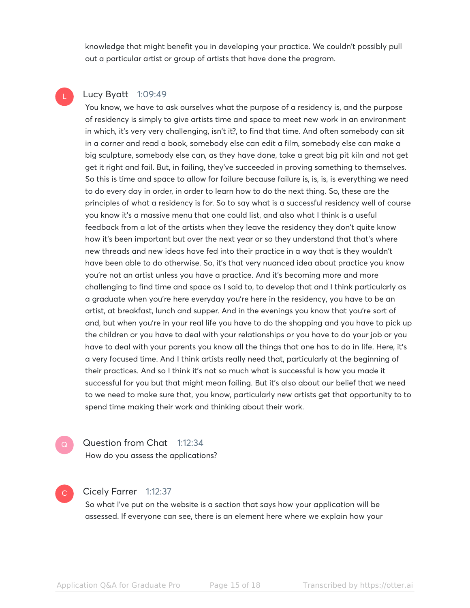knowledge that might benefit you in developing your practice. We couldn't possibly pull out a particular artist or group of artists that have done the program.

# Lucy Byatt 1:09:49

You know, we have to ask ourselves what the purpose of a residency is, and the purpose of residency is simply to give artists time and space to meet new work in an environment in which, it's very very challenging, isn't it?, to find that time. And often somebody can sit in a corner and read a book, somebody else can edit a film, somebody else can make a big sculpture, somebody else can, as they have done, take a great big pit kiln and not get get it right and fail. But, in failing, they've succeeded in proving something to themselves. So this is time and space to allow for failure because failure is, is, is, is everything we need to do every day in order, in order to learn how to do the next thing. So, these are the principles of what a residency is for. So to say what is a successful residency well of course you know it's a massive menu that one could list, and also what I think is a useful feedback from a lot of the artists when they leave the residency they don't quite know how it's been important but over the next year or so they understand that that's where new threads and new ideas have fed into their practice in a way that is they wouldn't have been able to do otherwise. So, it's that very nuanced idea about practice you know you're not an artist unless you have a practice. And it's becoming more and more challenging to find time and space as I said to, to develop that and I think particularly as a graduate when you're here everyday you're here in the residency, you have to be an artist, at breakfast, lunch and supper. And in the evenings you know that you're sort of and, but when you're in your real life you have to do the shopping and you have to pick up the children or you have to deal with your relationships or you have to do your job or you have to deal with your parents you know all the things that one has to do in life. Here, it's a very focused time. And I think artists really need that, particularly at the beginning of their practices. And so I think it's not so much what is successful is how you made it successful for you but that might mean failing. But it's also about our belief that we need to we need to make sure that, you know, particularly new artists get that opportunity to to spend time making their work and thinking about their work.

 $\mathsf{Q}^-$ 

Question from Chat 1:12:34 How do you assess the applications?

# $\mathsf{C}^{\scriptscriptstyle{+}}$

# Cicely Farrer 1:12:37

So what I've put on the website is a section that says how your application will be assessed. If everyone can see, there is an element here where we explain how your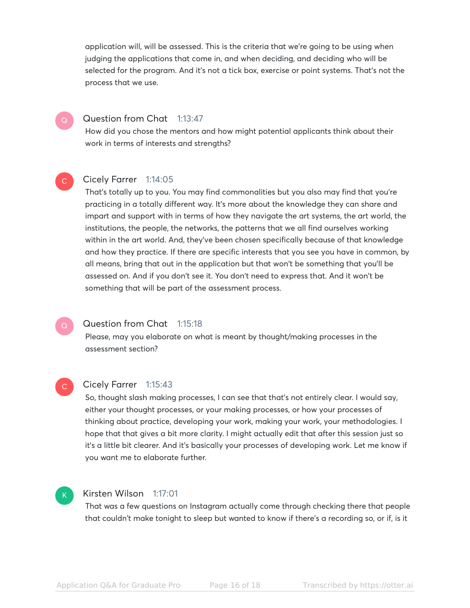application will, will be assessed. This is the criteria that we're going to be using when judging the applications that come in, and when deciding, and deciding who will be selected for the program. And it's not a tick box, exercise or point systems. That's not the process that we use.

# Question from Chat 1:13:47

How did you chose the mentors and how might potential applicants think about their work in terms of interests and strengths?

# Cicely Farrer 1:14:05

 $\mathbb{C}^{\times}$ 

That's totally up to you. You may find commonalities but you also may find that you're practicing in a totally different way. It's more about the knowledge they can share and impart and support with in terms of how they navigate the art systems, the art world, the institutions, the people, the networks, the patterns that we all find ourselves working within in the art world. And, they've been chosen specifically because of that knowledge and how they practice. If there are specific interests that you see you have in common, by all means, bring that out in the application but that won't be something that you'll be assessed on. And if you don't see it. You don't need to express that. And it won't be something that will be part of the assessment process.

#### Question from Chat 1:15:18  $\mathsf{Q}^-$

Please, may you elaborate on what is meant by thought/making processes in the assessment section?

#### Cicely Farrer 1:15:43 C

So, thought slash making processes, I can see that that's not entirely clear. I would say, either your thought processes, or your making processes, or how your processes of thinking about practice, developing your work, making your work, your methodologies. I hope that that gives a bit more clarity. I might actually edit that after this session just so it's a little bit clearer. And it's basically your processes of developing work. Let me know if you want me to elaborate further.

# $\mathsf{K}_{\scriptscriptstyle{+}}$

# Kirsten Wilson 1:17:01

That was a few questions on Instagram actually come through checking there that people that couldn't make tonight to sleep but wanted to know if there's a recording so, or if, is it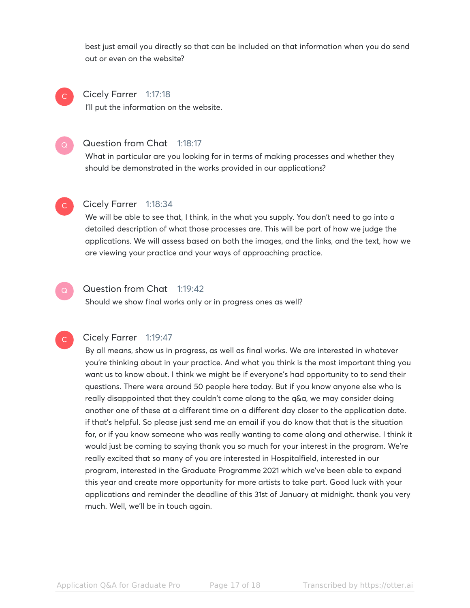best just email you directly so that can be included on that information when you do send out or even on the website?

### Cicely Farrer 1:17:18 I'll put the information on the website.  $\mathsf{C}^{\scriptscriptstyle{+}}$

### Question from Chat 1:18:17  $\mathsf{Q}^-$

What in particular are you looking for in terms of making processes and whether they should be demonstrated in the works provided in our applications?



# Cicely Farrer 1:18:34

We will be able to see that, I think, in the what you supply. You don't need to go into a detailed description of what those processes are. This will be part of how we judge the applications. We will assess based on both the images, and the links, and the text, how we are viewing your practice and your ways of approaching practice.

# Question from Chat 1:19:42

Should we show final works only or in progress ones as well?

## **C**

### Cicely Farrer 1:19:47

By all means, show us in progress, as well as final works. We are interested in whatever you're thinking about in your practice. And what you think is the most important thing you want us to know about. I think we might be if everyone's had opportunity to to send their questions. There were around 50 people here today. But if you know anyone else who is really disappointed that they couldn't come along to the q&a, we may consider doing another one of these at a different time on a different day closer to the application date. if that's helpful. So please just send me an email if you do know that that is the situation for, or if you know someone who was really wanting to come along and otherwise. I think it would just be coming to saying thank you so much for your interest in the program. We're really excited that so many of you are interested in Hospitalfield, interested in our program, interested in the Graduate Programme 2021 which we've been able to expand this year and create more opportunity for more artists to take part. Good luck with your applications and reminder the deadline of this 31st of January at midnight. thank you very much. Well, we'll be in touch again.